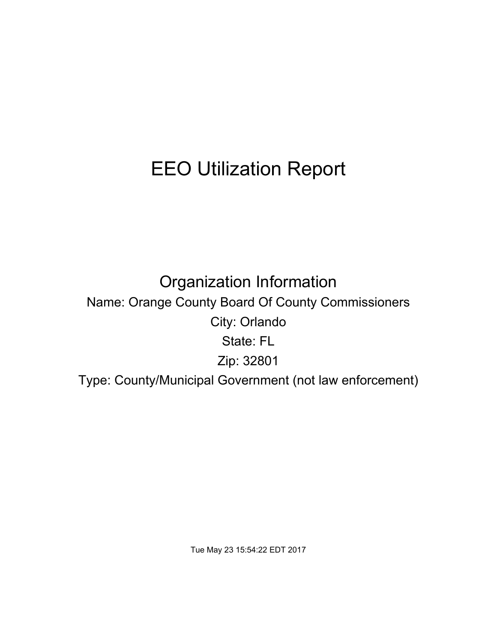# EEO Utilization Report

Organization Information Name: Orange County Board Of County Commissioners City: Orlando State: FL Zip: 32801 Type: County/Municipal Government (not law enforcement)

Tue May 23 15:54:22 EDT 2017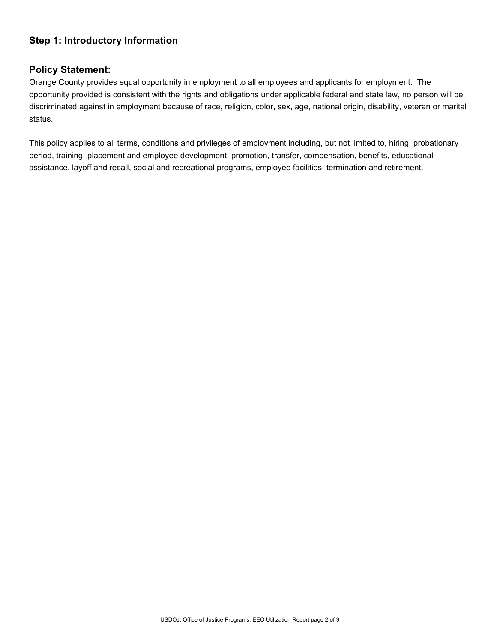# **Step 1: Introductory Information**

## **Policy Statement:**

Orange County provides equal opportunity in employment to all employees and applicants for employment. The opportunity provided is consistent with the rights and obligations under applicable federal and state law, no person will be discriminated against in employment because of race, religion, color, sex, age, national origin, disability, veteran or marital status.

This policy applies to all terms, conditions and privileges of employment including, but not limited to, hiring, probationary period, training, placement and employee development, promotion, transfer, compensation, benefits, educational assistance, layoff and recall, social and recreational programs, employee facilities, termination and retirement.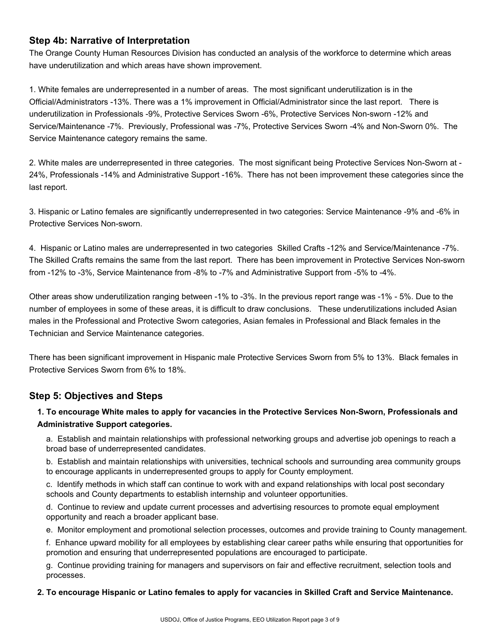## **Step 4b: Narrative of Interpretation**

The Orange County Human Resources Division has conducted an analysis of the workforce to determine which areas have underutilization and which areas have shown improvement.

1. White females are underrepresented in a number of areas. The most significant underutilization is in the Official/Administrators -13%. There was a 1% improvement in Official/Administrator since the last report. There is underutilization in Professionals -9%, Protective Services Sworn -6%, Protective Services Non-sworn -12% and Service/Maintenance -7%. Previously, Professional was -7%, Protective Services Sworn -4% and Non-Sworn 0%. The Service Maintenance category remains the same.

2. White males are underrepresented in three categories. The most significant being Protective Services Non-Sworn at - 24%, Professionals -14% and Administrative Support -16%. There has not been improvement these categories since the last report.

3. Hispanic or Latino females are significantly underrepresented in two categories: Service Maintenance -9% and -6% in Protective Services Non-sworn.

4. Hispanic or Latino males are underrepresented in two categories Skilled Crafts -12% and Service/Maintenance -7%. The Skilled Crafts remains the same from the last report. There has been improvement in Protective Services Non-sworn from -12% to -3%, Service Maintenance from -8% to -7% and Administrative Support from -5% to -4%.

Other areas show underutilization ranging between -1% to -3%. In the previous report range was -1% - 5%. Due to the number of employees in some of these areas, it is difficult to draw conclusions. These underutilizations included Asian males in the Professional and Protective Sworn categories, Asian females in Professional and Black females in the Technician and Service Maintenance categories.

There has been significant improvement in Hispanic male Protective Services Sworn from 5% to 13%. Black females in Protective Services Sworn from 6% to 18%.

# **Step 5: Objectives and Steps**

## **1. To encourage White males to apply for vacancies in the Protective Services Non-Sworn, Professionals and Administrative Support categories.**

a. Establish and maintain relationships with professional networking groups and advertise job openings to reach a broad base of underrepresented candidates.

b. Establish and maintain relationships with universities, technical schools and surrounding area community groups to encourage applicants in underrepresented groups to apply for County employment.

c. Identify methods in which staff can continue to work with and expand relationships with local post secondary schools and County departments to establish internship and volunteer opportunities.

d. Continue to review and update current processes and advertising resources to promote equal employment opportunity and reach a broader applicant base.

e. Monitor employment and promotional selection processes, outcomes and provide training to County management.

f. Enhance upward mobility for all employees by establishing clear career paths while ensuring that opportunities for promotion and ensuring that underrepresented populations are encouraged to participate.

g. Continue providing training for managers and supervisors on fair and effective recruitment, selection tools and processes.

#### **2. To encourage Hispanic or Latino females to apply for vacancies in Skilled Craft and Service Maintenance.**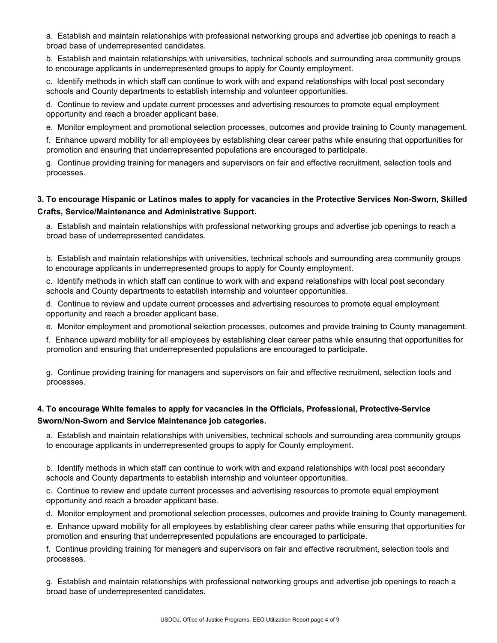a. Establish and maintain relationships with professional networking groups and advertise job openings to reach a broad base of underrepresented candidates.

b. Establish and maintain relationships with universities, technical schools and surrounding area community groups to encourage applicants in underrepresented groups to apply for County employment.

c. Identify methods in which staff can continue to work with and expand relationships with local post secondary schools and County departments to establish internship and volunteer opportunities.

d. Continue to review and update current processes and advertising resources to promote equal employment opportunity and reach a broader applicant base.

e. Monitor employment and promotional selection processes, outcomes and provide training to County management.

f. Enhance upward mobility for all employees by establishing clear career paths while ensuring that opportunities for promotion and ensuring that underrepresented populations are encouraged to participate.

g. Continue providing training for managers and supervisors on fair and effective recruitment, selection tools and processes.

#### **3. To encourage Hispanic or Latinos males to apply for vacancies in the Protective Services Non-Sworn, Skilled Crafts, Service/Maintenance and Administrative Support.**

a. Establish and maintain relationships with professional networking groups and advertise job openings to reach a broad base of underrepresented candidates.

b. Establish and maintain relationships with universities, technical schools and surrounding area community groups to encourage applicants in underrepresented groups to apply for County employment.

c. Identify methods in which staff can continue to work with and expand relationships with local post secondary schools and County departments to establish internship and volunteer opportunities.

d. Continue to review and update current processes and advertising resources to promote equal employment opportunity and reach a broader applicant base.

e. Monitor employment and promotional selection processes, outcomes and provide training to County management.

f. Enhance upward mobility for all employees by establishing clear career paths while ensuring that opportunities for promotion and ensuring that underrepresented populations are encouraged to participate.

g. Continue providing training for managers and supervisors on fair and effective recruitment, selection tools and processes.

## **4. To encourage White females to apply for vacancies in the Officials, Professional, Protective-Service Sworn/Non-Sworn and Service Maintenance job categories.**

a. Establish and maintain relationships with universities, technical schools and surrounding area community groups to encourage applicants in underrepresented groups to apply for County employment.

b. Identify methods in which staff can continue to work with and expand relationships with local post secondary schools and County departments to establish internship and volunteer opportunities.

c. Continue to review and update current processes and advertising resources to promote equal employment opportunity and reach a broader applicant base.

d. Monitor employment and promotional selection processes, outcomes and provide training to County management.

e. Enhance upward mobility for all employees by establishing clear career paths while ensuring that opportunities for promotion and ensuring that underrepresented populations are encouraged to participate.

f. Continue providing training for managers and supervisors on fair and effective recruitment, selection tools and processes.

g. Establish and maintain relationships with professional networking groups and advertise job openings to reach a broad base of underrepresented candidates.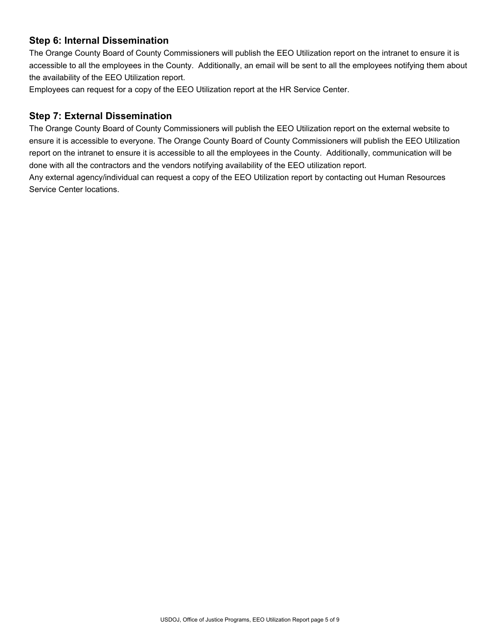# **Step 6: Internal Dissemination**

The Orange County Board of County Commissioners will publish the EEO Utilization report on the intranet to ensure it is accessible to all the employees in the County. Additionally, an email will be sent to all the employees notifying them about the availability of the EEO Utilization report.

Employees can request for a copy of the EEO Utilization report at the HR Service Center.

## **Step 7: External Dissemination**

The Orange County Board of County Commissioners will publish the EEO Utilization report on the external website to ensure it is accessible to everyone. The Orange County Board of County Commissioners will publish the EEO Utilization report on the intranet to ensure it is accessible to all the employees in the County. Additionally, communication will be done with all the contractors and the vendors notifying availability of the EEO utilization report.

Any external agency/individual can request a copy of the EEO Utilization report by contacting out Human Resources Service Center locations.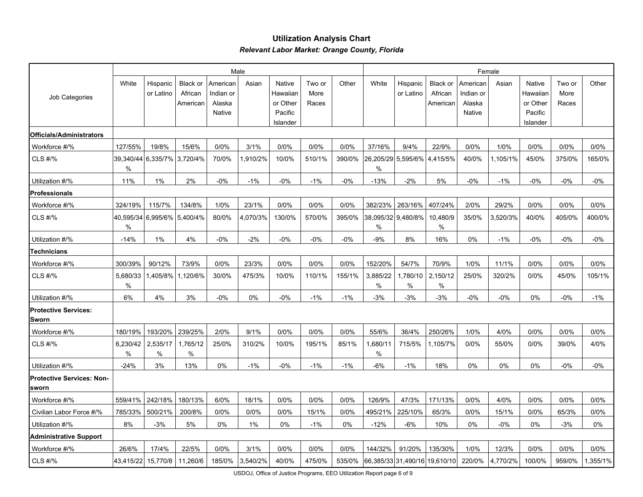## **Utilization Analysis Chart***Relevant Labor Market: Orange County, Florida*

| Job Categories                            |                |                       |                            |                       | Male     |                                 |                | Female |                  |                       |                               |                       |          |                                 |                |         |
|-------------------------------------------|----------------|-----------------------|----------------------------|-----------------------|----------|---------------------------------|----------------|--------|------------------|-----------------------|-------------------------------|-----------------------|----------|---------------------------------|----------------|---------|
|                                           | White          | Hispanic<br>or Latino | <b>Black or</b><br>African | American<br>Indian or | Asian    | Native<br>Hawaiian              | Two or<br>More | Other  | White            | Hispanic<br>or Latino | <b>Black or</b><br>African    | American<br>Indian or | Asian    | <b>Native</b><br>Hawaiian       | Two or<br>More | Other   |
|                                           |                |                       | American                   | Alaska<br>Native      |          | or Other<br>Pacific<br>Islander | Races          |        |                  |                       | American                      | Alaska<br>Native      |          | or Other<br>Pacific<br>Islander | Races          |         |
| Officials/Administrators                  |                |                       |                            |                       |          |                                 |                |        |                  |                       |                               |                       |          |                                 |                |         |
| Workforce #/%                             | 127/55%        | 19/8%                 | 15/6%                      | 0/0%                  | 3/1%     | 0/0%                            | 0/0%           | 0/0%   | 37/16%           | 9/4%                  | 22/9%                         | 0/0%                  | 1/0%     | 0/0%                            | 0/0%           | 0/0%    |
| CLS #/%                                   | 39,340/44<br>% | 6,335/7%              | 3,720/4%                   | 70/0%                 | 1,910/2% | 10/0%                           | 510/1%         | 390/0% | 26,205/29<br>%   | 5,595/6%              | 4,415/5%                      | 40/0%                 | 1,105/1% | 45/0%                           | 375/0%         | 165/0%  |
| Utilization #/%                           | 11%            | 1%                    | 2%                         | $-0%$                 | $-1%$    | $-0%$                           | $-1%$          | $-0%$  | $-13%$           | $-2%$                 | 5%                            | $-0%$                 | $-1%$    | $-0%$                           | $-0%$          | $-0%$   |
| <b>Professionals</b>                      |                |                       |                            |                       |          |                                 |                |        |                  |                       |                               |                       |          |                                 |                |         |
| Workforce #/%                             | 324/19%        | 115/7%                | 134/8%                     | 1/0%                  | 23/1%    | 0/0%                            | 0/0%           | 0/0%   | 382/23%          | 263/16%               | 407/24%                       | 2/0%                  | 29/2%    | 0/0%                            | 0/0%           | 0/0%    |
| CLS #/%                                   | %              | 40.595/34 6.995/6% l  | 5,400/4%                   | 80/0%                 | 4,070/3% | 130/0%                          | 570/0%         | 395/0% | %                | 38,095/32 9,480/8%    | 10,480/9<br>$\%$              | 35/0%                 | 3,520/3% | 40/0%                           | 405/0%         | 400/0%  |
| Utilization #/%                           | $-14%$         | 1%                    | 4%                         | $-0%$                 | $-2%$    | $-0%$                           | $-0%$          | $-0%$  | $-9%$            | 8%                    | 16%                           | 0%                    | $-1%$    | $-0\%$                          | $-0\%$         | $-0\%$  |
| Technicians                               |                |                       |                            |                       |          |                                 |                |        |                  |                       |                               |                       |          |                                 |                |         |
| Workforce #/%                             | 300/39%        | 90/12%                | 73/9%                      | 0/0%                  | 23/3%    | 0/0%                            | 0/0%           | 0/0%   | 152/20%          | 54/7%                 | 70/9%                         | 1/0%                  | 11/1%    | 0/0%                            | 0/0%           | 0/0%    |
| CLS #/%                                   | 5,680/33<br>%  | 1,405/8%              | 1,120/6%                   | 30/0%                 | 475/3%   | 10/0%                           | 110/1%         | 155/1% | 3,885/22<br>$\%$ | 1,780/10<br>$\%$      | 2,150/12<br>%                 | 25/0%                 | 320/2%   | 0/0%                            | 45/0%          | 105/1%  |
| Utilization #/%                           | 6%             | 4%                    | 3%                         | $-0%$                 | 0%       | $-0%$                           | $-1%$          | $-1%$  | $-3%$            | $-3%$                 | $-3%$                         | $-0%$                 | $-0%$    | 0%                              | $-0%$          | $-1%$   |
| <b>Protective Services:</b><br>Sworn      |                |                       |                            |                       |          |                                 |                |        |                  |                       |                               |                       |          |                                 |                |         |
| Workforce #/%                             | 180/19%        | 193/20%               | 239/25%                    | 2/0%                  | 9/1%     | 0/0%                            | 0/0%           | 0/0%   | 55/6%            | 36/4%                 | 250/26%                       | 1/0%                  | 4/0%     | 0/0%                            | 0/0%           | 0/0%    |
| <b>CLS #/%</b>                            | 6,230/42<br>%  | 2,535/17<br>%         | 1,765/12<br>%              | 25/0%                 | 310/2%   | 10/0%                           | 195/1%         | 85/1%  | 1,680/11<br>%    | 715/5%                | 1,105/7%                      | 0/0%                  | 55/0%    | 0/0%                            | 39/0%          | 4/0%    |
| Utilization #/%                           | $-24%$         | 3%                    | 13%                        | 0%                    | $-1%$    | $-0%$                           | $-1%$          | $-1%$  | $-6%$            | $-1%$                 | 18%                           | 0%                    | 0%       | 0%                              | $-0%$          | $-0%$   |
| <b>Protective Services: Non-</b><br>sworn |                |                       |                            |                       |          |                                 |                |        |                  |                       |                               |                       |          |                                 |                |         |
| Workforce #/%                             | 559/41%        | 242/18%               | 180/13%                    | 6/0%                  | 18/1%    | 0/0%                            | 0/0%           | 0/0%   | 126/9%           | 47/3%                 | 171/13%                       | 0/0%                  | 4/0%     | 0/0%                            | 0/0%           | 0/0%    |
| Civilian Labor Force #/%                  | 785/33%        | 500/21%               | 200/8%                     | 0/0%                  | 0/0%     | 0/0%                            | 15/1%          | 0/0%   | 495/21%          | 225/10%               | 65/3%                         | 0/0%                  | 15/1%    | 0/0%                            | 65/3%          | 0/0%    |
| Utilization #/%                           | 8%             | $-3%$                 | 5%                         | 0%                    | 1%       | 0%                              | $-1%$          | 0%     | $-12%$           | $-6%$                 | 10%                           | 0%                    | $-0%$    | 0%                              | $-3%$          | 0%      |
| <b>Administrative Support</b>             |                |                       |                            |                       |          |                                 |                |        |                  |                       |                               |                       |          |                                 |                |         |
| Workforce #/%                             | 26/6%          | 17/4%                 | 22/5%                      | 0/0%                  | 3/1%     | 0/0%                            | 0/0%           | 0/0%   | 144/32%          | 91/20%                | 135/30%                       | 1/0%                  | 12/3%    | 0/0%                            | 0/0%           | 0/0%    |
| CLS #/%                                   | 43,415/22      | 15,770/8              | 11,260/6                   | 185/0%                | 3,540/2% | 40/0%                           | 475/0%         | 535/0% |                  |                       | 66,385/33 31,490/16 19,610/10 | 220/0%                | 4,770/2% | 100/0%                          | 959/0%         | .355/1% |

USDOJ, Office of Justice Programs, EEO Utilization Report page 6 of 9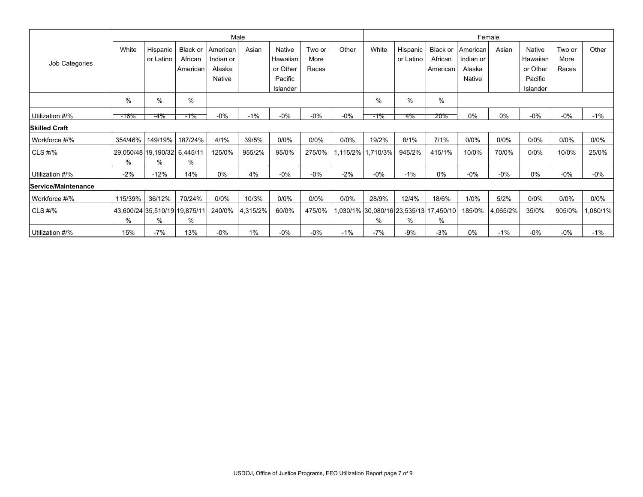|                      |         |                               |                            |                       | Male     |                    |                | Female |                                             |                       |                     |                       |          |                    |                |         |
|----------------------|---------|-------------------------------|----------------------------|-----------------------|----------|--------------------|----------------|--------|---------------------------------------------|-----------------------|---------------------|-----------------------|----------|--------------------|----------------|---------|
| Job Categories       | White   | Hispanic<br>or Latino         | <b>Black or</b><br>African | American<br>Indian or | Asian    | Native<br>Hawaiian | Two or<br>More | Other  | White                                       | Hispanic<br>or Latino | Black or<br>African | American<br>Indian or | Asian    | Native<br>Hawaiian | Two or<br>More | Other   |
|                      |         |                               | American                   | Alaska                |          | or Other           | Races          |        |                                             |                       | American            | Alaska                |          | or Other           | Races          |         |
|                      |         |                               |                            | Native                |          | Pacific            |                |        |                                             |                       |                     | Native                |          | Pacific            |                |         |
|                      |         |                               |                            |                       |          | Islander           |                |        |                                             |                       |                     |                       |          | Islander           |                |         |
|                      | $\%$    | $\%$                          | $\%$                       |                       |          |                    |                |        | $\%$                                        | $\%$                  | $\%$                |                       |          |                    |                |         |
| Utilization #/%      | -16%    | -4%                           | -1%                        | $-0%$                 | $-1%$    | $-0%$              | $-0%$          | $-0%$  | -1%                                         | 4%                    | 20%                 | 0%                    | 0%       | $-0%$              | $-0%$          | $-1%$   |
| <b>Skilled Craft</b> |         |                               |                            |                       |          |                    |                |        |                                             |                       |                     |                       |          |                    |                |         |
| Workforce #/%        | 354/46% | 149/19%                       | 187/24%                    | 4/1%                  | 39/5%    | 0/0%               | 0/0%           | 0/0%   | 19/2%                                       | 8/1%                  | 7/1%                | 0/0%                  | 0/0%     | 0/0%               | 0/0%           | 0/0%    |
| CLS #/%              |         | 29,050/48 19,190/32 6,445/11  |                            | 125/0%                | 955/2%   | 95/0%              | 275/0%         |        | 1,115/2%   1,710/3%                         | 945/2%                | 415/1%              | 10/0%                 | 70/0%    | 0/0%               | 10/0%          | 25/0%   |
|                      | $\%$    | %                             | %                          |                       |          |                    |                |        |                                             |                       |                     |                       |          |                    |                |         |
| Utilization #/%      | $-2%$   | $-12%$                        | 14%                        | $0\%$                 | 4%       | $-0%$              | $-0%$          | $-2%$  | $-0%$                                       | $-1%$                 | 0%                  | $-0%$                 | $-0%$    | 0%                 | $-0%$          | $-0\%$  |
| Service/Maintenance  |         |                               |                            |                       |          |                    |                |        |                                             |                       |                     |                       |          |                    |                |         |
| Workforce #/%        | 115/39% | 36/12%                        | 70/24%                     | 0/0%                  | 10/3%    | 0/0%               | 0/0%           | 0/0%   | 28/9%                                       | 12/4%                 | 18/6%               | 1/0%                  | 5/2%     | 0/0%               | 0/0%           | 0/0%    |
| CLS #/%              |         | 43,600/24 35,510/19 19,875/11 |                            | 240/0%                | 4,315/2% | 60/0%              | 475/0%         |        | .030/1% 30.080/16 23.535/13 17.450/10 030/1 |                       |                     | 185/0%                | 4,065/2% | 35/0%              | 905/0%         | ,080/1% |
|                      | $\%$    | %                             | %                          |                       |          |                    |                |        | %                                           | %                     | %                   |                       |          |                    |                |         |
| Utilization #/%      | 15%     | $-7%$                         | 13%                        | $-0%$                 | 1%       | $-0%$              | $-0%$          | $-1%$  | $-7%$                                       | $-9%$                 | $-3%$               | 0%                    | $-1%$    | $-0%$              | $-0%$          | $-1\%$  |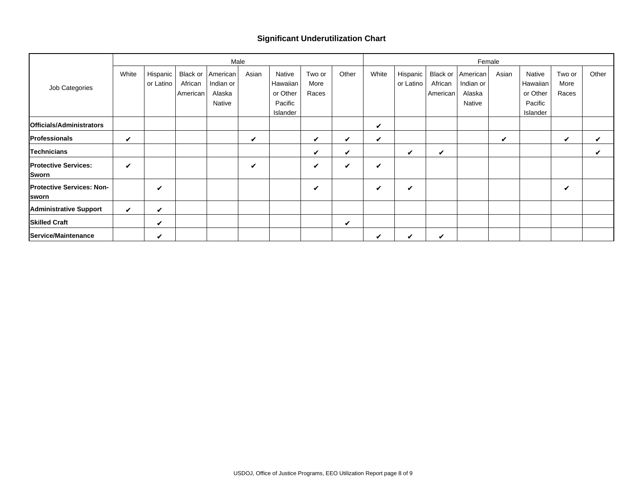#### **Significant Underutilization Chart**

|                                                  |       |                       |                                 | Male                            |       |                                |                         | Female |       |                       |                                 |                                 |       |                                |                         |       |
|--------------------------------------------------|-------|-----------------------|---------------------------------|---------------------------------|-------|--------------------------------|-------------------------|--------|-------|-----------------------|---------------------------------|---------------------------------|-------|--------------------------------|-------------------------|-------|
| Job Categories                                   | White | Hispanic<br>or Latino | Black or<br>African<br>American | American<br>Indian or<br>Alaska | Asian | Native<br>Hawaiian<br>or Other | Two or<br>More<br>Races | Other  | White | Hispanic<br>or Latino | Black or<br>African<br>American | American<br>Indian or<br>Alaska | Asian | Native<br>Hawaiian<br>or Other | Two or<br>More<br>Races | Other |
|                                                  |       |                       |                                 | Native                          |       | Pacific<br>Islander            |                         |        |       |                       |                                 | Native                          |       | Pacific<br>Islander            |                         |       |
| Officials/Administrators                         |       |                       |                                 |                                 |       |                                |                         |        |       |                       |                                 |                                 |       |                                |                         |       |
| Professionals                                    |       |                       |                                 |                                 |       |                                |                         |        |       |                       |                                 |                                 |       |                                |                         |       |
| Technicians                                      |       |                       |                                 |                                 |       |                                |                         |        |       |                       |                                 |                                 |       |                                |                         |       |
| <b>Protective Services:</b><br>Sworn             |       |                       |                                 |                                 |       |                                |                         |        |       |                       |                                 |                                 |       |                                |                         |       |
| <b>Protective Services: Non-</b><br><b>Sworn</b> |       |                       |                                 |                                 |       |                                |                         |        |       |                       |                                 |                                 |       |                                |                         |       |
| <b>Administrative Support</b>                    |       |                       |                                 |                                 |       |                                |                         |        |       |                       |                                 |                                 |       |                                |                         |       |
| <b>Skilled Craft</b>                             |       |                       |                                 |                                 |       |                                |                         |        |       |                       |                                 |                                 |       |                                |                         |       |
| <b>Service/Maintenance</b>                       |       |                       |                                 |                                 |       |                                |                         |        |       |                       |                                 |                                 |       |                                |                         |       |